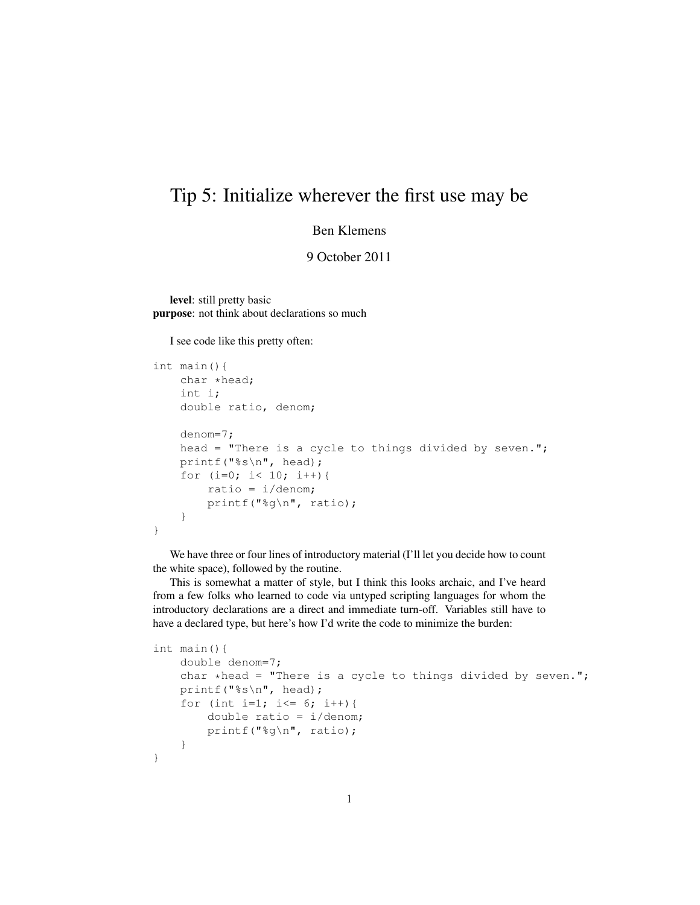## Tip 5: Initialize wherever the first use may be

## Ben Klemens

9 October 2011

level: still pretty basic purpose: not think about declarations so much

I see code like this pretty often:

```
int main(){
    char *head;
    int i;
    double ratio, denom;
    denom=7;
    head = "There is a cycle to things divided by seven.";
   printf("%s\n", head);
    for (i=0; i< 10; i++) {
        ratio = i/denom;
        printf("%g\n", ratio);
    }
}
```
We have three or four lines of introductory material (I'll let you decide how to count the white space), followed by the routine.

This is somewhat a matter of style, but I think this looks archaic, and I've heard from a few folks who learned to code via untyped scripting languages for whom the introductory declarations are a direct and immediate turn-off. Variables still have to have a declared type, but here's how I'd write the code to minimize the burden:

```
int main(){
    double denom=7;
    char *head = "There is a cycle to things divided by seven.";
    printf("%s\n", head);
    for (int i=1; i<= 6; i++) {
        double ratio = i/denom;
        printf("%g\n", ratio);
    }
}
```